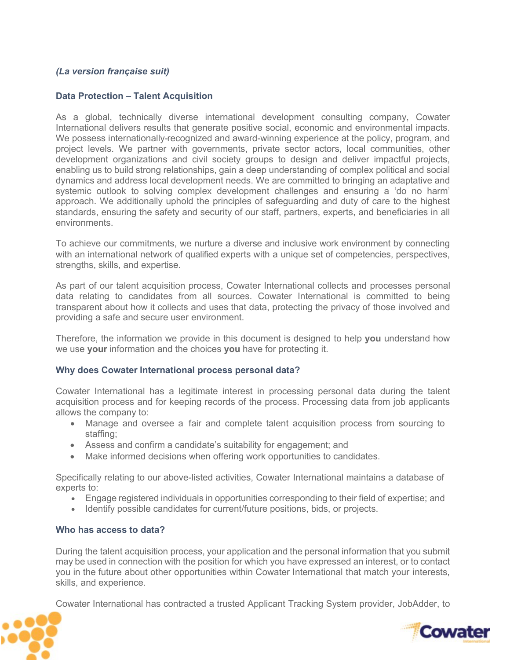# *(La version française suit)*

# **Data Protection – Talent Acquisition**

As a global, technically diverse international development consulting company, Cowater International delivers results that generate positive social, economic and environmental impacts. We possess internationally-recognized and award-winning experience at the policy, program, and project levels. We partner with governments, private sector actors, local communities, other development organizations and civil society groups to design and deliver impactful projects, enabling us to build strong relationships, gain a deep understanding of complex political and social dynamics and address local development needs. We are committed to bringing an adaptative and systemic outlook to solving complex development challenges and ensuring a 'do no harm' approach. We additionally uphold the principles of safeguarding and duty of care to the highest standards, ensuring the safety and security of our staff, partners, experts, and beneficiaries in all environments.

To achieve our commitments, we nurture a diverse and inclusive work environment by connecting with an international network of qualified experts with a unique set of competencies, perspectives, strengths, skills, and expertise.

As part of our talent acquisition process, Cowater International collects and processes personal data relating to candidates from all sources. Cowater International is committed to being transparent about how it collects and uses that data, protecting the privacy of those involved and providing a safe and secure user environment.

Therefore, the information we provide in this document is designed to help **you** understand how we use **your** information and the choices **you** have for protecting it.

#### **Why does Cowater International process personal data?**

Cowater International has a legitimate interest in processing personal data during the talent acquisition process and for keeping records of the process. Processing data from job applicants allows the company to:

- Manage and oversee a fair and complete talent acquisition process from sourcing to staffing;
- Assess and confirm a candidate's suitability for engagement; and
- Make informed decisions when offering work opportunities to candidates.

Specifically relating to our above-listed activities, Cowater International maintains a database of experts to:

- Engage registered individuals in opportunities corresponding to their field of expertise; and
- Identify possible candidates for current/future positions, bids, or projects.

#### **Who has access to data?**

During the talent acquisition process, your application and the personal information that you submit may be used in connection with the position for which you have expressed an interest, or to contact you in the future about other opportunities within Cowater International that match your interests, skills, and experience.

Cowater International has contracted a trusted Applicant Tracking System provider, JobAdder, to



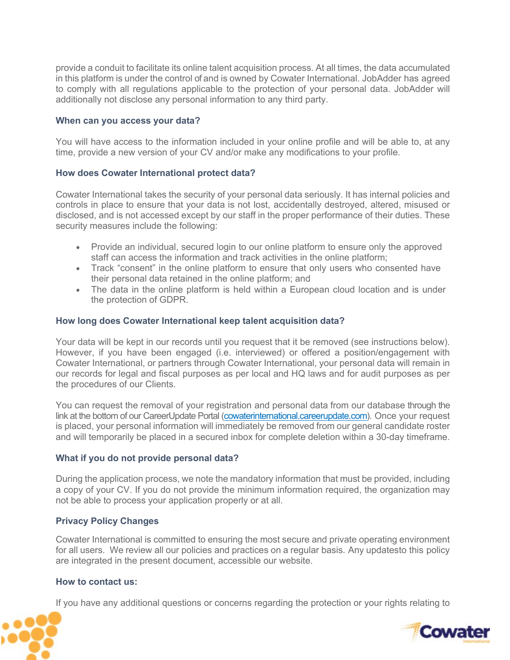provide a conduit to facilitate its online talent acquisition process. At all times, the data accumulated in this platform is under the control of and is owned by Cowater International. JobAdder has agreed to comply with all regulations applicable to the protection of your personal data. JobAdder will additionally not disclose any personal information to any third party.

### **When can you access your data?**

You will have access to the information included in your online profile and will be able to, at any time, provide a new version of your CV and/or make any modifications to your profile.

## **How does Cowater International protect data?**

Cowater International takes the security of your personal data seriously. It has internal policies and controls in place to ensure that your data is not lost, accidentally destroyed, altered, misused or disclosed, and is not accessed except by our staff in the proper performance of their duties. These security measures include the following:

- Provide an individual, secured login to our online platform to ensure only the approved staff can access the information and track activities in the online platform;
- Track "consent" in the online platform to ensure that only users who consented have their personal data retained in the online platform; and
- The data in the online platform is held within a European cloud location and is under the protection of GDPR.

## **How long does Cowater International keep talent acquisition data?**

Your data will be kept in our records until you request that it be removed (see instructions below). However, if you have been engaged (i.e. interviewed) or offered a position/engagement with Cowater International, or partners through Cowater International, your personal data will remain in our records for legal and fiscal purposes as per local and HQ laws and for audit purposes as per the procedures of our Clients.

You can request the removal of your registration and personal data from our database through the link at the bottom of our CareerUpdate Portal (cowaterinternational.careerupdate.com). Once your request is placed, your personal information will immediately be removed from our general candidate roster and will temporarily be placed in a secured inbox for complete deletion within a 30-day timeframe.

#### **What if you do not provide personal data?**

During the application process, we note the mandatory information that must be provided, including a copy of your CV. If you do not provide the minimum information required, the organization may not be able to process your application properly or at all.

## **Privacy Policy Changes**

Cowater International is committed to ensuring the most secure and private operating environment for all users. We review all our policies and practices on a regular basis. Any updatesto this policy are integrated in the present document, accessible our website.

#### **How to contact us:**

If you have any additional questions or concerns regarding the protection or your rights relating to



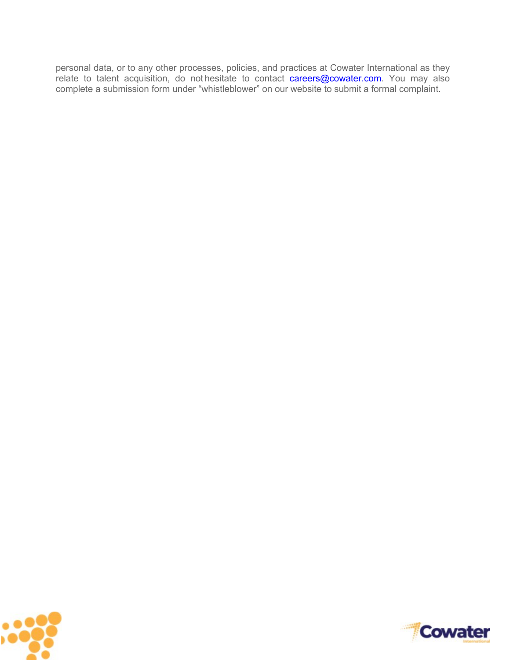personal data, or to any other processes, policies, and practices at Cowater International as they relate to talent acquisition, do not hesitate to contact **careers@cowater.com**. You may also complete a submission form under "whistleblower" on our website to submit a formal complaint.



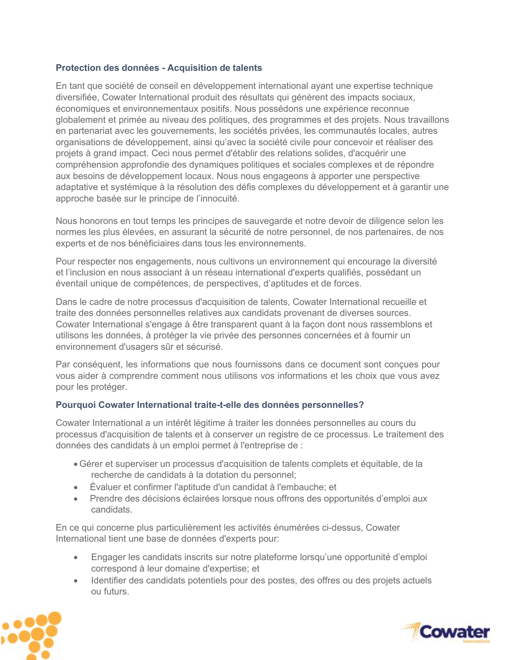# **Protection des données - Acquisition de talents**

En tant que société de conseil en développement international ayant une expertise technique diversifiée, Cowater International produit des résultats qui génèrent des impacts sociaux, économiques et environnementaux positifs. Nous possédons une expérience reconnue globalement et primée au niveau des politiques, des programmes et des projets. Nous travaillons en partenariat avec les gouvernements, les sociétés privées, les communautés locales, autres organisations de développement, ainsi qu'avec la société civile pour concevoir et réaliser des projets à grand impact. Ceci nous permet d'établir des relations solides, d'acquérir une compréhension approfondie des dynamiques politiques et sociales complexes et de répondre aux besoins de développement locaux. Nous nous engageons à apporter une perspective adaptative et systémique à la résolution des défis complexes du développement et à garantir une approche basée sur le principe de l'innocuité.

Nous honorons en tout temps les principes de sauvegarde et notre devoir de diligence selon les normes les plus élevées, en assurant la sécurité de notre personnel, de nos partenaires, de nos experts et de nos bénéficiaires dans tous les environnements.

Pour respecter nos engagements, nous cultivons un environnement qui encourage la diversité et l'inclusion en nous associant à un réseau international d'experts qualifiés, possédant un éventail unique de compétences, de perspectives, d'aptitudes et de forces.

Dans le cadre de notre processus d'acquisition de talents, Cowater International recueille et traite des données personnelles relatives aux candidats provenant de diverses sources. Cowater International s'engage à être transparent quant à la façon dont nous rassemblons et utilisons les données, à protéger la vie privée des personnes concernées et à fournir un environnement d'usagers sûr et sécurisé.

Par conséquent, les informations que nous fournissons dans ce document sont conçues pour vous aider à comprendre comment nous utilisons vos informations et les choix que vous avez pour les protéger.

## **Pourquoi Cowater International traite-t-elle des données personnelles?**

Cowater International a un intérêt légitime à traiter les données personnelles au cours du processus d'acquisition de talents et à conserver un registre de ce processus. Le traitement des données des candidats à un emploi permet à l'entreprise de :

- Gérer et superviser un processus d'acquisition de talents complets et équitable, de la recherche de candidats à la dotation du personnel;
- Évaluer et confirmer l'aptitude d'un candidat à l'embauche; et
- Prendre des décisions éclairées lorsque nous offrons des opportunités d'emploi aux candidats.

En ce qui concerne plus particulièrement les activités énumérées ci-dessus, Cowater International tient une base de données d'experts pour:

- Engager les candidats inscrits sur notre plateforme lorsqu'une opportunité d'emploi correspond à leur domaine d'expertise; et
- Identifier des candidats potentiels pour des postes, des offres ou des projets actuels ou futurs.



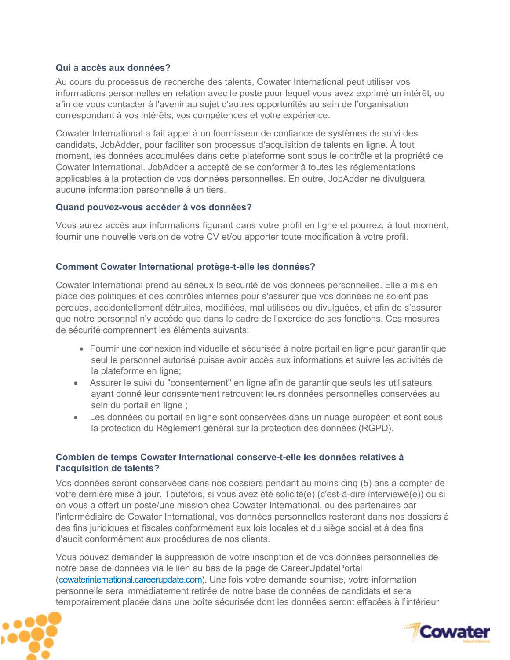# **Qui a accès aux données?**

Au cours du processus de recherche des talents, Cowater International peut utiliser vos informations personnelles en relation avec le poste pour lequel vous avez exprimé un intérêt, ou afin de vous contacter à l'avenir au sujet d'autres opportunités au sein de l'organisation correspondant à vos intérêts, vos compétences et votre expérience.

Cowater International a fait appel à un fournisseur de confiance de systèmes de suivi des candidats, JobAdder, pour faciliter son processus d'acquisition de talents en ligne. À tout moment, les données accumulées dans cette plateforme sont sous le contrôle et la propriété de Cowater International. JobAdder a accepté de se conformer à toutes les réglementations applicables à la protection de vos données personnelles. En outre, JobAdder ne divulguera aucune information personnelle à un tiers.

## **Quand pouvez-vous accéder à vos données?**

Vous aurez accès aux informations figurant dans votre profil en ligne et pourrez, à tout moment, fournir une nouvelle version de votre CV et/ou apporter toute modification à votre profil.

## **Comment Cowater International protège-t-elle les données?**

Cowater International prend au sérieux la sécurité de vos données personnelles. Elle a mis en place des politiques et des contrôles internes pour s'assurer que vos données ne soient pas perdues, accidentellement détruites, modifiées, mal utilisées ou divulguées, et afin de s'assurer que notre personnel n'y accède que dans le cadre de l'exercice de ses fonctions. Ces mesures de sécurité comprennent les éléments suivants:

- Fournir une connexion individuelle et sécurisée à notre portail en ligne pour garantir que seul le personnel autorisé puisse avoir accès aux informations et suivre les activités de la plateforme en ligne;
- Assurer le suivi du "consentement" en ligne afin de garantir que seuls les utilisateurs ayant donné leur consentement retrouvent leurs données personnelles conservées au sein du portail en ligne ;
- Les données du portail en ligne sont conservées dans un nuage européen et sont sous la protection du Règlement général sur la protection des données (RGPD).

## **Combien de temps Cowater International conserve-t-elle les données relatives à l'acquisition de talents?**

Vos données seront conservées dans nos dossiers pendant au moins cinq (5) ans à compter de votre dernière mise à jour. Toutefois, si vous avez été solicité(e) (c'est-à-dire interviewé(e)) ou si on vous a offert un poste/une mission chez Cowater International, ou des partenaires par l'intermédiaire de Cowater International, vos données personnelles resteront dans nos dossiers à des fins juridiques et fiscales conformément aux lois locales et du siège social et à des fins d'audit conformément aux procédures de nos clients.

Vous pouvez demander la suppression de votre inscription et de vos données personnelles de notre base de données via le lien au bas de la page de CareerUpdatePortal (cowaterinternational.careerupdate.com). Une fois votre demande soumise, votre information personnelle sera immédiatement retirée de notre base de données de candidats et sera temporairement placée dans une boîte sécurisée dont les données seront effacées à l'intérieur